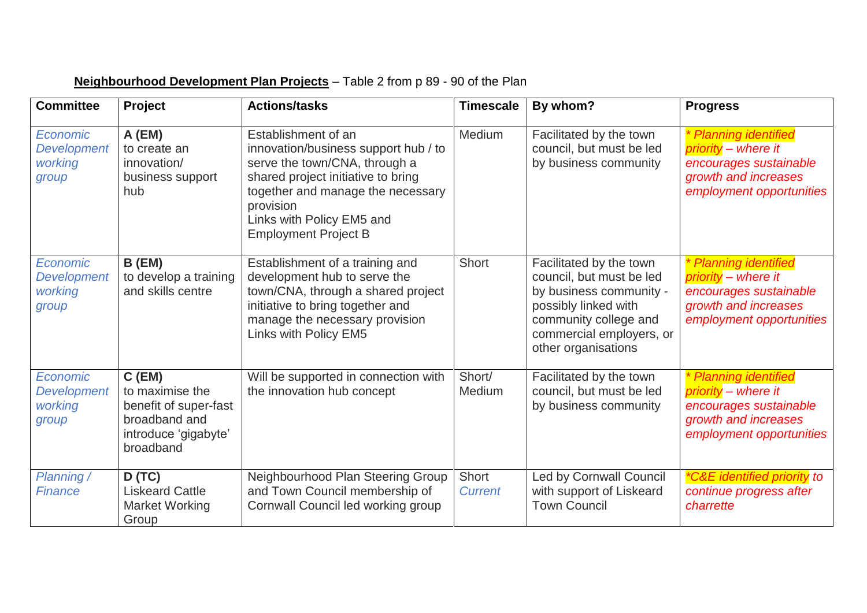| <b>Committee</b>                                   | Project                                                                                                    | <b>Actions/tasks</b>                                                                                                                                                                                                                             | <b>Timescale</b>        | By whom?                                                                                                                                                                           | <b>Progress</b>                                                                                                            |
|----------------------------------------------------|------------------------------------------------------------------------------------------------------------|--------------------------------------------------------------------------------------------------------------------------------------------------------------------------------------------------------------------------------------------------|-------------------------|------------------------------------------------------------------------------------------------------------------------------------------------------------------------------------|----------------------------------------------------------------------------------------------------------------------------|
| Economic<br><b>Development</b><br>working<br>group | A (EM)<br>to create an<br>innovation/<br>business support<br>hub                                           | Establishment of an<br>innovation/business support hub / to<br>serve the town/CNA, through a<br>shared project initiative to bring<br>together and manage the necessary<br>provision<br>Links with Policy EM5 and<br><b>Employment Project B</b> | Medium                  | Facilitated by the town<br>council, but must be led<br>by business community                                                                                                       | * Planning identified<br>priority - where it<br>encourages sustainable<br>growth and increases<br>employment opportunities |
| Economic<br><b>Development</b><br>working<br>group | B(EM)<br>to develop a training<br>and skills centre                                                        | Establishment of a training and<br>development hub to serve the<br>town/CNA, through a shared project<br>initiative to bring together and<br>manage the necessary provision<br>Links with Policy EM5                                             | <b>Short</b>            | Facilitated by the town<br>council, but must be led<br>by business community -<br>possibly linked with<br>community college and<br>commercial employers, or<br>other organisations | * Planning identified<br>priority - where it<br>encourages sustainable<br>growth and increases<br>employment opportunities |
| Economic<br><b>Development</b><br>working<br>group | $C$ (EM)<br>to maximise the<br>benefit of super-fast<br>broadband and<br>introduce 'gigabyte'<br>broadband | Will be supported in connection with<br>the innovation hub concept                                                                                                                                                                               | Short/<br>Medium        | Facilitated by the town<br>council, but must be led<br>by business community                                                                                                       | * Planning identified<br>priority - where it<br>encourages sustainable<br>growth and increases<br>employment opportunities |
| Planning /<br><b>Finance</b>                       | D(TC)<br><b>Liskeard Cattle</b><br><b>Market Working</b><br>Group                                          | Neighbourhood Plan Steering Group<br>and Town Council membership of<br>Cornwall Council led working group                                                                                                                                        | Short<br><b>Current</b> | Led by Cornwall Council<br>with support of Liskeard<br><b>Town Council</b>                                                                                                         | <i>*C&amp;E identified priority to</i><br>continue progress after<br>charrette                                             |

## **Neighbourhood Development Plan Projects** – Table 2 from p 89 - 90 of the Plan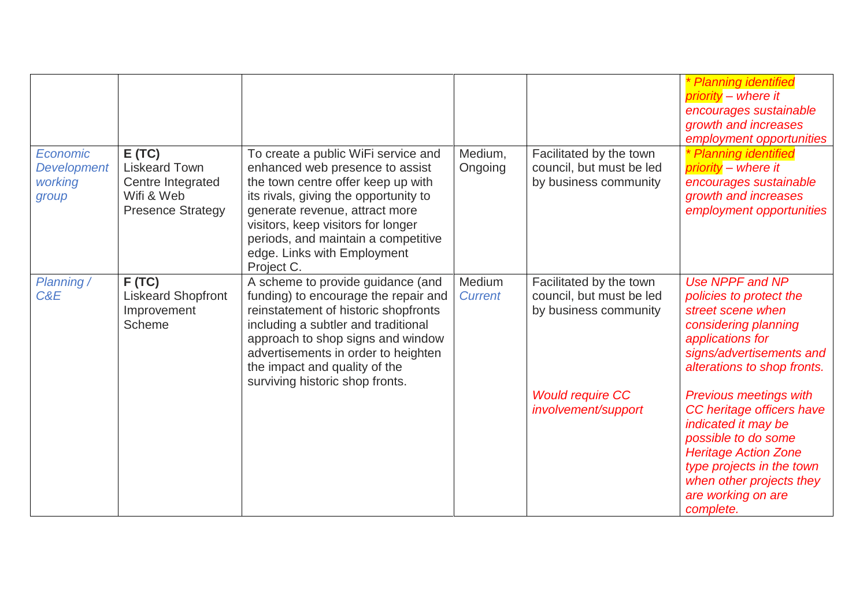|                                                           |                                                                                              |                                                                                                                                                                                                                                                                                                                   |                          |                                                                              | * Planning identified<br>priority - where it<br>encourages sustainable<br>growth and increases<br>employment opportunities                                                                                                          |
|-----------------------------------------------------------|----------------------------------------------------------------------------------------------|-------------------------------------------------------------------------------------------------------------------------------------------------------------------------------------------------------------------------------------------------------------------------------------------------------------------|--------------------------|------------------------------------------------------------------------------|-------------------------------------------------------------------------------------------------------------------------------------------------------------------------------------------------------------------------------------|
| <b>Economic</b><br><b>Development</b><br>working<br>group | E(TC)<br><b>Liskeard Town</b><br>Centre Integrated<br>Wifi & Web<br><b>Presence Strategy</b> | To create a public WiFi service and<br>enhanced web presence to assist<br>the town centre offer keep up with<br>its rivals, giving the opportunity to<br>generate revenue, attract more<br>visitors, keep visitors for longer<br>periods, and maintain a competitive<br>edge. Links with Employment<br>Project C. | Medium,<br>Ongoing       | Facilitated by the town<br>council, but must be led<br>by business community | * Planning identified<br>priority - where it<br>encourages sustainable<br>growth and increases<br>employment opportunities                                                                                                          |
| Planning /<br>C&E                                         | F(TC)<br><b>Liskeard Shopfront</b><br>Improvement<br>Scheme                                  | A scheme to provide guidance (and<br>funding) to encourage the repair and<br>reinstatement of historic shopfronts<br>including a subtler and traditional<br>approach to shop signs and window<br>advertisements in order to heighten<br>the impact and quality of the<br>surviving historic shop fronts.          | Medium<br><b>Current</b> | Facilitated by the town<br>council, but must be led<br>by business community | Use NPPF and NP<br>policies to protect the<br>street scene when<br>considering planning<br>applications for<br>signs/advertisements and<br>alterations to shop fronts.                                                              |
|                                                           |                                                                                              |                                                                                                                                                                                                                                                                                                                   |                          | <b>Would require CC</b><br>involvement/support                               | <b>Previous meetings with</b><br>CC heritage officers have<br>indicated it may be<br>possible to do some<br><b>Heritage Action Zone</b><br>type projects in the town<br>when other projects they<br>are working on are<br>complete. |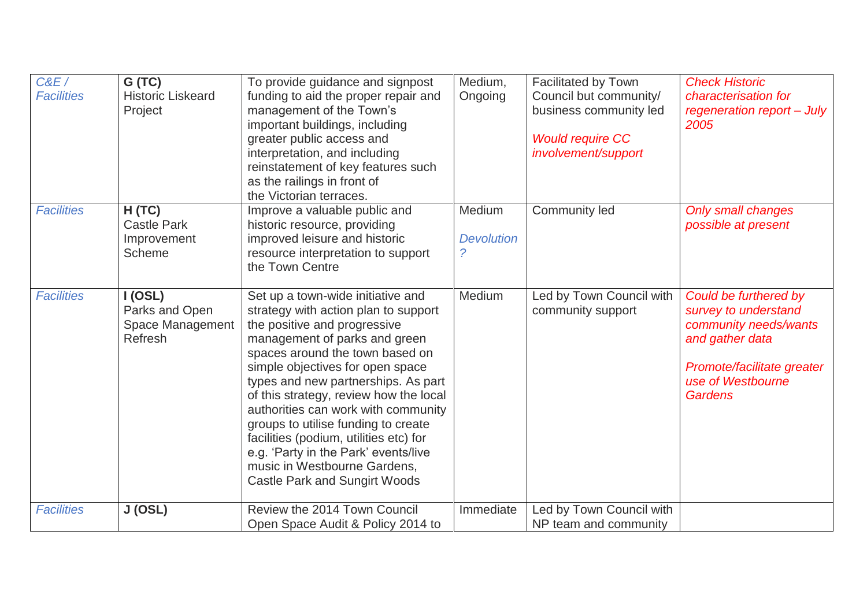| C&E/<br><b>Facilities</b> | G(TC)<br><b>Historic Liskeard</b><br>Project             | To provide guidance and signpost<br>funding to aid the proper repair and<br>management of the Town's<br>important buildings, including<br>greater public access and<br>interpretation, and including<br>reinstatement of key features such<br>as the railings in front of<br>the Victorian terraces.                                                                                                                                                                                                                                       | Medium,<br>Ongoing               | <b>Facilitated by Town</b><br>Council but community/<br>business community led<br><b>Would require CC</b><br>involvement/support | <b>Check Historic</b><br>characterisation for<br>regeneration report - July<br>2005                                                                     |
|---------------------------|----------------------------------------------------------|--------------------------------------------------------------------------------------------------------------------------------------------------------------------------------------------------------------------------------------------------------------------------------------------------------------------------------------------------------------------------------------------------------------------------------------------------------------------------------------------------------------------------------------------|----------------------------------|----------------------------------------------------------------------------------------------------------------------------------|---------------------------------------------------------------------------------------------------------------------------------------------------------|
| <b>Facilities</b>         | H(TC)<br><b>Castle Park</b><br>Improvement<br>Scheme     | Improve a valuable public and<br>historic resource, providing<br>improved leisure and historic<br>resource interpretation to support<br>the Town Centre                                                                                                                                                                                                                                                                                                                                                                                    | Medium<br><b>Devolution</b><br>2 | Community led                                                                                                                    | <b>Only small changes</b><br>possible at present                                                                                                        |
| <b>Facilities</b>         | I (OSL)<br>Parks and Open<br>Space Management<br>Refresh | Set up a town-wide initiative and<br>strategy with action plan to support<br>the positive and progressive<br>management of parks and green<br>spaces around the town based on<br>simple objectives for open space<br>types and new partnerships. As part<br>of this strategy, review how the local<br>authorities can work with community<br>groups to utilise funding to create<br>facilities (podium, utilities etc) for<br>e.g. 'Party in the Park' events/live<br>music in Westbourne Gardens,<br><b>Castle Park and Sungirt Woods</b> | Medium                           | Led by Town Council with<br>community support                                                                                    | Could be furthered by<br>survey to understand<br>community needs/wants<br>and gather data<br>Promote/facilitate greater<br>use of Westbourne<br>Gardens |
| <b>Facilities</b>         | J (OSL)                                                  | Review the 2014 Town Council<br>Open Space Audit & Policy 2014 to                                                                                                                                                                                                                                                                                                                                                                                                                                                                          | Immediate                        | Led by Town Council with<br>NP team and community                                                                                |                                                                                                                                                         |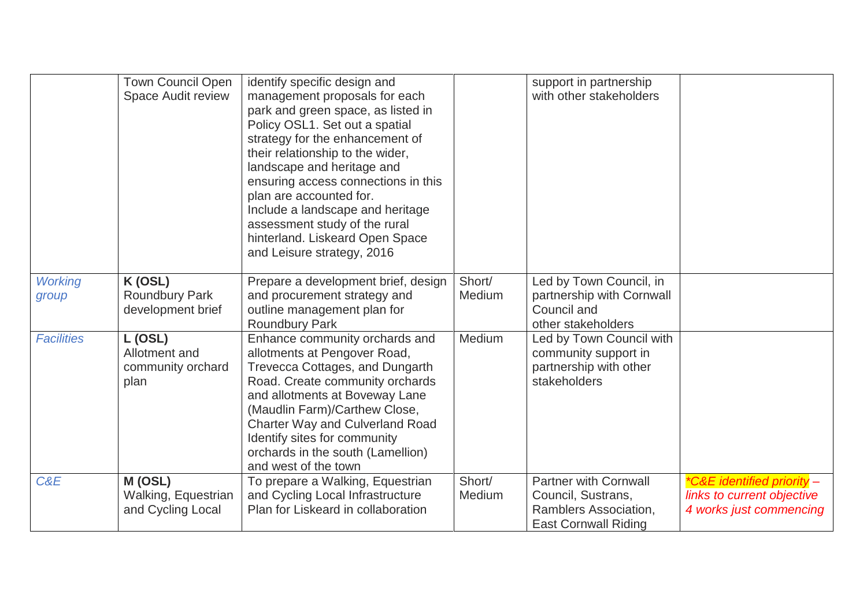|                         | <b>Town Council Open</b><br>Space Audit review        | identify specific design and<br>management proposals for each<br>park and green space, as listed in<br>Policy OSL1. Set out a spatial<br>strategy for the enhancement of<br>their relationship to the wider,<br>landscape and heritage and<br>ensuring access connections in this<br>plan are accounted for.<br>Include a landscape and heritage<br>assessment study of the rural<br>hinterland. Liskeard Open Space<br>and Leisure strategy, 2016 |                  | support in partnership<br>with other stakeholders                                                          |                                                                                     |
|-------------------------|-------------------------------------------------------|----------------------------------------------------------------------------------------------------------------------------------------------------------------------------------------------------------------------------------------------------------------------------------------------------------------------------------------------------------------------------------------------------------------------------------------------------|------------------|------------------------------------------------------------------------------------------------------------|-------------------------------------------------------------------------------------|
| <b>Working</b><br>group | K (OSL)<br><b>Roundbury Park</b><br>development brief | Prepare a development brief, design<br>and procurement strategy and<br>outline management plan for<br><b>Roundbury Park</b>                                                                                                                                                                                                                                                                                                                        | Short/<br>Medium | Led by Town Council, in<br>partnership with Cornwall<br>Council and<br>other stakeholders                  |                                                                                     |
| <b>Facilities</b>       | L (OSL)<br>Allotment and<br>community orchard<br>plan | Enhance community orchards and<br>allotments at Pengover Road,<br>Trevecca Cottages, and Dungarth<br>Road. Create community orchards<br>and allotments at Boveway Lane<br>(Maudlin Farm)/Carthew Close,<br><b>Charter Way and Culverland Road</b><br>Identify sites for community<br>orchards in the south (Lamellion)<br>and west of the town                                                                                                     | Medium           | Led by Town Council with<br>community support in<br>partnership with other<br>stakeholders                 |                                                                                     |
| C&E                     | M (OSL)<br>Walking, Equestrian<br>and Cycling Local   | To prepare a Walking, Equestrian<br>and Cycling Local Infrastructure<br>Plan for Liskeard in collaboration                                                                                                                                                                                                                                                                                                                                         | Short/<br>Medium | <b>Partner with Cornwall</b><br>Council, Sustrans,<br>Ramblers Association,<br><b>East Cornwall Riding</b> | *C&E identified priority -<br>links to current objective<br>4 works just commencing |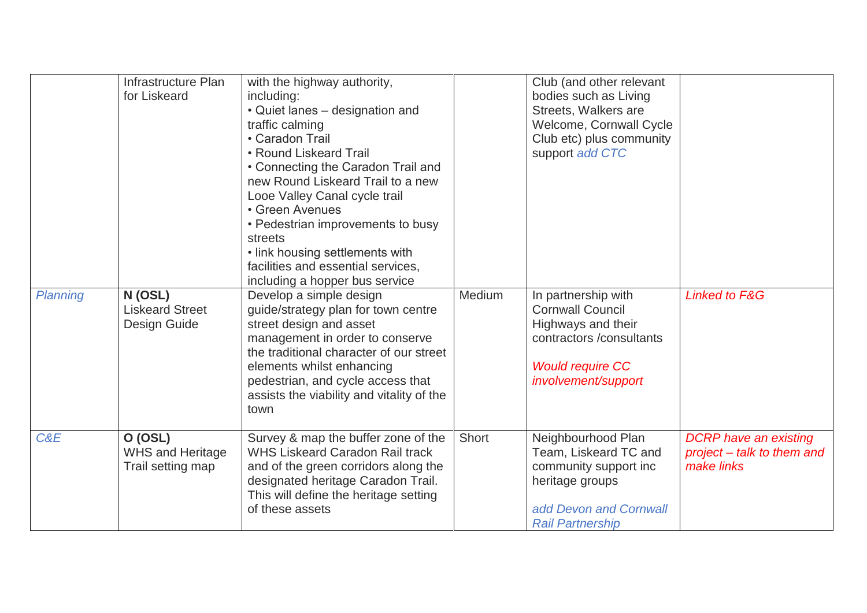|          | Infrastructure Plan<br>for Liskeard                     | with the highway authority,<br>including:<br>• Quiet lanes - designation and<br>traffic calming<br>• Caradon Trail<br>• Round Liskeard Trail<br>• Connecting the Caradon Trail and<br>new Round Liskeard Trail to a new<br>Looe Valley Canal cycle trail<br>• Green Avenues<br>• Pedestrian improvements to busy<br>streets<br>• link housing settlements with<br>facilities and essential services,<br>including a hopper bus service |        | Club (and other relevant<br>bodies such as Living<br>Streets, Walkers are<br>Welcome, Cornwall Cycle<br>Club etc) plus community<br>support add CTC |                                                                          |
|----------|---------------------------------------------------------|----------------------------------------------------------------------------------------------------------------------------------------------------------------------------------------------------------------------------------------------------------------------------------------------------------------------------------------------------------------------------------------------------------------------------------------|--------|-----------------------------------------------------------------------------------------------------------------------------------------------------|--------------------------------------------------------------------------|
| Planning | N(OSL)<br><b>Liskeard Street</b><br>Design Guide        | Develop a simple design<br>guide/strategy plan for town centre<br>street design and asset<br>management in order to conserve<br>the traditional character of our street<br>elements whilst enhancing<br>pedestrian, and cycle access that<br>assists the viability and vitality of the<br>town                                                                                                                                         | Medium | In partnership with<br><b>Cornwall Council</b><br>Highways and their<br>contractors /consultants<br><b>Would require CC</b><br>involvement/support  | <b>Linked to F&amp;G</b>                                                 |
| C&E      | O (OSL)<br><b>WHS and Heritage</b><br>Trail setting map | Survey & map the buffer zone of the<br><b>WHS Liskeard Caradon Rail track</b><br>and of the green corridors along the<br>designated heritage Caradon Trail.<br>This will define the heritage setting<br>of these assets                                                                                                                                                                                                                | Short  | Neighbourhood Plan<br>Team, Liskeard TC and<br>community support inc<br>heritage groups<br>add Devon and Cornwall<br><b>Rail Partnership</b>        | <b>DCRP</b> have an existing<br>project – talk to them and<br>make links |